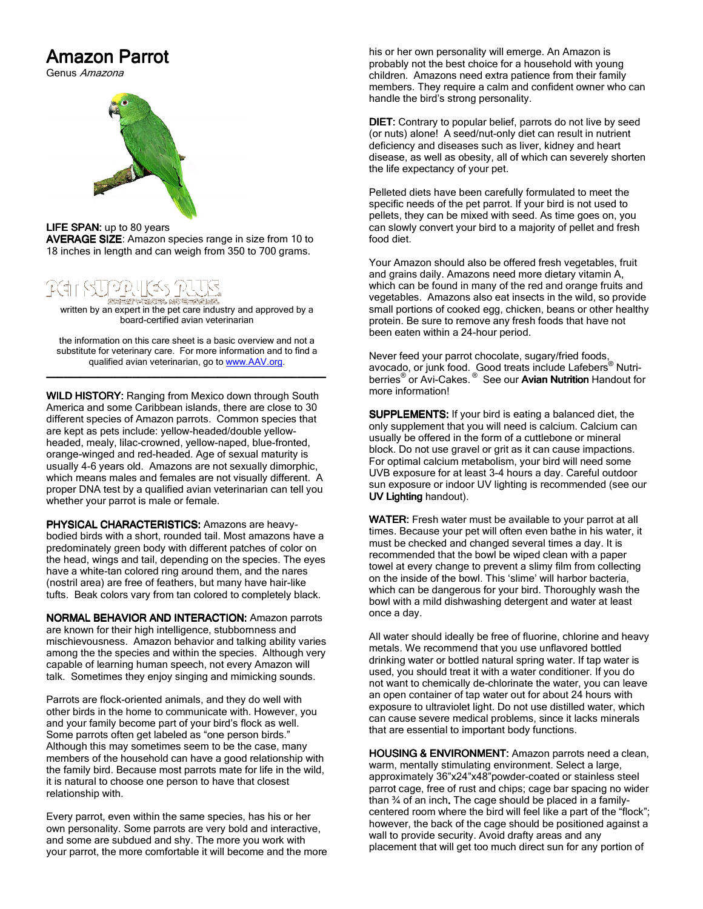## Amazon Parrot

Genus Amazona



LIFE SPAN: up to 80 years

AVERAGE SIZE: Amazon species range in size from 10 to 18 inches in length and can weigh from 350 to 700 grams.

## `야내(≤s 11 ARREST HERE RADIO CONTROL AND

written by an expert in the pet care industry and approved by a board-certified avian veterinarian

the information on this care sheet is a basic overview and not a substitute for veterinary care. For more information and to find a qualified avian veterinarian, go to www.AAV.org. \_\_\_\_\_\_\_\_\_\_\_\_\_\_\_\_\_\_\_\_\_\_\_\_\_\_\_\_\_\_\_\_\_\_\_\_\_\_\_\_\_\_\_\_\_\_\_\_\_ \_\_\_\_\_\_\_\_\_\_\_\_\_\_\_\_\_\_\_\_\_\_\_\_\_\_\_\_\_\_\_\_\_\_\_\_\_\_\_\_\_\_\_\_\_\_\_\_\_\_\_\_\_\_\_\_\_\_\_\_\_\_\_\_\_\_\_\_\_\_\_\_\_\_\_\_\_\_\_\_

WILD HISTORY: Ranging from Mexico down through South America and some Caribbean islands, there are close to 30 different species of Amazon parrots. Common species that are kept as pets include: yellow-headed/double yellowheaded, mealy, lilac-crowned, yellow-naped, blue-fronted, orange-winged and red-headed. Age of sexual maturity is usually 4-6 years old. Amazons are not sexually dimorphic, which means males and females are not visually different. A proper DNA test by a qualified avian veterinarian can tell you whether your parrot is male or female.

PHYSICAL CHARACTERISTICS: Amazons are heavybodied birds with a short, rounded tail. Most amazons have a predominately green body with different patches of color on the head, wings and tail, depending on the species. The eyes have a white-tan colored ring around them, and the nares (nostril area) are free of feathers, but many have hair-like tufts. Beak colors vary from tan colored to completely black.

NORMAL BEHAVIOR AND INTERACTION: Amazon parrots are known for their high intelligence, stubbornness and mischievousness. Amazon behavior and talking ability varies among the the species and within the species. Although very capable of learning human speech, not every Amazon will talk. Sometimes they enjoy singing and mimicking sounds.

Parrots are flock-oriented animals, and they do well with other birds in the home to communicate with. However, you and your family become part of your bird's flock as well. Some parrots often get labeled as "one person birds." Although this may sometimes seem to be the case, many members of the household can have a good relationship with the family bird. Because most parrots mate for life in the wild, it is natural to choose one person to have that closest relationship with.

Every parrot, even within the same species, has his or her own personality. Some parrots are very bold and interactive, and some are subdued and shy. The more you work with your parrot, the more comfortable it will become and the more his or her own personality will emerge. An Amazon is probably not the best choice for a household with young children. Amazons need extra patience from their family members. They require a calm and confident owner who can handle the bird's strong personality.

DIET: Contrary to popular belief, parrots do not live by seed (or nuts) alone! A seed/nut-only diet can result in nutrient deficiency and diseases such as liver, kidney and heart disease, as well as obesity, all of which can severely shorten the life expectancy of your pet.

Pelleted diets have been carefully formulated to meet the specific needs of the pet parrot. If your bird is not used to pellets, they can be mixed with seed. As time goes on, you can slowly convert your bird to a majority of pellet and fresh food diet.

Your Amazon should also be offered fresh vegetables, fruit and grains daily. Amazons need more dietary vitamin A, which can be found in many of the red and orange fruits and vegetables. Amazons also eat insects in the wild, so provide small portions of cooked egg, chicken, beans or other healthy protein. Be sure to remove any fresh foods that have not been eaten within a 24-hour period.

Never feed your parrot chocolate, sugary/fried foods, avocado, or junk food. Good treats include Lafebers® Nutriberries<sup>®</sup> or Avi-Cakes.<sup>®</sup> See our Avian Nutrition Handout for more information!

SUPPLEMENTS: If your bird is eating a balanced diet, the only supplement that you will need is calcium. Calcium can usually be offered in the form of a cuttlebone or mineral block. Do not use gravel or grit as it can cause impactions. For optimal calcium metabolism, your bird will need some UVB exposure for at least 3-4 hours a day. Careful outdoor sun exposure or indoor UV lighting is recommended (see our UV Lighting handout).

WATER: Fresh water must be available to your parrot at all times. Because your pet will often even bathe in his water, it must be checked and changed several times a day. It is recommended that the bowl be wiped clean with a paper towel at every change to prevent a slimy film from collecting on the inside of the bowl. This 'slime' will harbor bacteria, which can be dangerous for your bird. Thoroughly wash the bowl with a mild dishwashing detergent and water at least once a day.

All water should ideally be free of fluorine, chlorine and heavy metals. We recommend that you use unflavored bottled drinking water or bottled natural spring water. If tap water is used, you should treat it with a water conditioner. If you do not want to chemically de-chlorinate the water, you can leave an open container of tap water out for about 24 hours with exposure to ultraviolet light. Do not use distilled water, which can cause severe medical problems, since it lacks minerals that are essential to important body functions.

HOUSING & ENVIRONMENT: Amazon parrots need a clean, warm, mentally stimulating environment. Select a large, approximately 36"x24"x48"powder-coated or stainless steel parrot cage, free of rust and chips; cage bar spacing no wider than 34 of an inch. The cage should be placed in a familycentered room where the bird will feel like a part of the "flock"; however, the back of the cage should be positioned against a wall to provide security. Avoid drafty areas and any placement that will get too much direct sun for any portion of